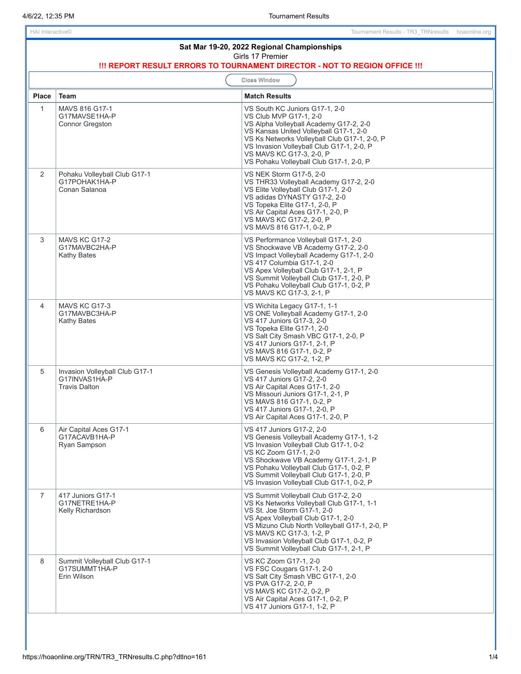| HAI Interactive©<br>Tournament Results - TR3 TRNresults hoaonline.org                                                                        |                                                                         |                                                                                                                                                                                                                                                                                                                             |  |  |  |  |  |
|----------------------------------------------------------------------------------------------------------------------------------------------|-------------------------------------------------------------------------|-----------------------------------------------------------------------------------------------------------------------------------------------------------------------------------------------------------------------------------------------------------------------------------------------------------------------------|--|--|--|--|--|
| Sat Mar 19-20, 2022 Regional Championships<br>Girls 17 Premier<br>!!! REPORT RESULT ERRORS TO TOURNAMENT DIRECTOR - NOT TO REGION OFFICE !!! |                                                                         |                                                                                                                                                                                                                                                                                                                             |  |  |  |  |  |
|                                                                                                                                              | <b>Close Window</b>                                                     |                                                                                                                                                                                                                                                                                                                             |  |  |  |  |  |
| <b>Place</b>                                                                                                                                 | Team                                                                    | <b>Match Results</b>                                                                                                                                                                                                                                                                                                        |  |  |  |  |  |
| 1                                                                                                                                            | MAVS 816 G17-1<br>G17MAVSE1HA-P<br><b>Connor Gregston</b>               | VS South KC Juniors G17-1, 2-0<br>VS Club MVP G17-1, 2-0<br>VS Alpha Volleyball Academy G17-2, 2-0<br>VS Kansas United Volleyball G17-1, 2-0<br>VS Ks Networks Volleyball Club G17-1, 2-0, P<br>VS Invasion Volleyball Club G17-1, 2-0, P<br>VS MAVS KC G17-3, 2-0, P<br>VS Pohaku Volleyball Club G17-1, 2-0, P            |  |  |  |  |  |
| $\overline{2}$                                                                                                                               | Pohaku Volleyball Club G17-1<br>G17POHAK1HA-P<br>Conan Salanoa          | VS NEK Storm G17-5, 2-0<br>VS THR33 Volleyball Academy G17-2, 2-0<br>VS Elite Volleyball Club G17-1, 2-0<br>VS adidas DYNASTY G17-2, 2-0<br>VS Topeka Elite G17-1, 2-0, P<br>VS Air Capital Aces G17-1, 2-0, P<br>VS MAVS KC G17-2, 2-0, P<br>VS MAVS 816 G17-1, 0-2, P                                                     |  |  |  |  |  |
| 3                                                                                                                                            | MAVS KC G17-2<br>G17MAVBC2HA-P<br>Kathy Bates                           | VS Performance Volleyball G17-1, 2-0<br>VS Shockwave VB Academy G17-2, 2-0<br>VS Impact Volleyball Academy G17-1, 2-0<br>VS 417 Columbia G17-1, 2-0<br>VS Apex Volleyball Club G17-1, 2-1, P<br>VS Summit Volleyball Club G17-1, 2-0, P<br>VS Pohaku Volleyball Club G17-1, 0-2, P<br>VS MAVS KC G17-3, 2-1, P              |  |  |  |  |  |
| 4                                                                                                                                            | MAVS KC G17-3<br>G17MAVBC3HA-P<br><b>Kathy Bates</b>                    | VS Wichita Legacy G17-1, 1-1<br>VS ONE Volleyball Academy G17-1, 2-0<br>VS 417 Juniors G17-3, 2-0<br>VS Topeka Elite G17-1, 2-0<br>VS Salt City Smash VBC G17-1, 2-0, P<br>VS 417 Juniors G17-1, 2-1, P<br>VS MAVS 816 G17-1, 0-2, P<br>VS MAVS KC G17-2, 1-2, P                                                            |  |  |  |  |  |
| 5                                                                                                                                            | Invasion Volleyball Club G17-1<br>G17INVAS1HA-P<br><b>Travis Dalton</b> | VS Genesis Volleyball Academy G17-1, 2-0<br>VS 417 Juniors G17-2, 2-0<br>VS Air Capital Aces G17-1, 2-0<br>VS Missouri Juniors G17-1, 2-1, P<br>VS MAVS 816 G17-1, 0-2, P<br>VS 417 Juniors G17-1, 2-0, P<br>VS Air Capital Aces G17-1, 2-0, P                                                                              |  |  |  |  |  |
| 6                                                                                                                                            | Air Capital Aces G17-1<br>G17ACAVB1HA-P<br>Ryan Sampson                 | VS 417 Juniors G17-2, 2-0<br>VS Genesis Volleyball Academy G17-1, 1-2<br>VS Invasion Volleyball Club G17-1, 0-2<br>VS KC Zoom G17-1, 2-0<br>VS Shockwave VB Academy G17-1, 2-1, P<br>VS Pohaku Volleyball Club G17-1, 0-2, P<br>VS Summit Volleyball Club G17-1, 2-0, P<br>VS Invasion Volleyball Club G17-1, 0-2, P        |  |  |  |  |  |
| $\overline{7}$                                                                                                                               | 417 Juniors G17-1<br>G17NETRE1HA-P<br>Kelly Richardson                  | VS Summit Volleyball Club G17-2, 2-0<br>VS Ks Networks Volleyball Club G17-1, 1-1<br>VS St. Joe Storm G17-1, 2-0<br>VS Apex Volleyball Club G17-1, 2-0<br>VS Mizuno Club North Volleyball G17-1, 2-0, P<br>VS MAVS KC G17-3, 1-2, P<br>VS Invasion Volleyball Club G17-1, 0-2, P<br>VS Summit Volleyball Club G17-1, 2-1, P |  |  |  |  |  |
| 8                                                                                                                                            | Summit Volleyball Club G17-1<br>G17SUMMT1HA-P<br>Erin Wilson            | VS KC Zoom G17-1, 2-0<br>VS FSC Cougars G17-1, 2-0<br>VS Salt City Smash VBC G17-1, 2-0<br>VS PVA G17-2, 2-0, P<br>VS MAVS KC G17-2, 0-2, P<br>VS Air Capital Aces G17-1, 0-2, P<br>VS 417 Juniors G17-1, 1-2, P                                                                                                            |  |  |  |  |  |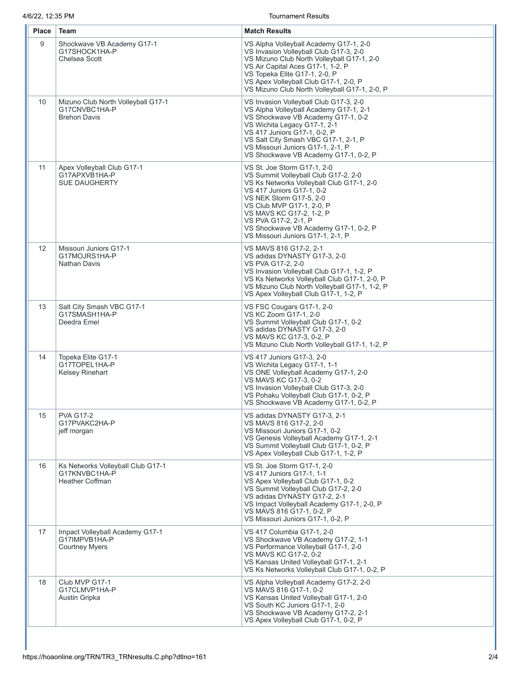| 4/6/22, 12:35 PM |  |  |
|------------------|--|--|
|                  |  |  |

**Tournament Results** 

| Place             | Team                                                                         | <b>Match Results</b>                                                                                                                                                                                                                                                                                                                    |
|-------------------|------------------------------------------------------------------------------|-----------------------------------------------------------------------------------------------------------------------------------------------------------------------------------------------------------------------------------------------------------------------------------------------------------------------------------------|
| 9                 | Shockwave VB Academy G17-1<br>G17SHOCK1HA-P<br>Chelsea Scott                 | VS Alpha Volleyball Academy G17-1, 2-0<br>VS Invasion Volleyball Club G17-3, 2-0<br>VS Mizuno Club North Volleyball G17-1, 2-0<br>VS Air Capital Aces G17-1, 1-2, P<br>VS Topeka Elite G17-1, 2-0, P<br>VS Apex Volleyball Club G17-1, 2-0, P<br>VS Mizuno Club North Volleyball G17-1, 2-0, P                                          |
| 10                | Mizuno Club North Volleyball G17-1<br>G17CNVBC1HA-P<br><b>Brehon Davis</b>   | VS Invasion Volleyball Club G17-3, 2-0<br>VS Alpha Volleyball Academy G17-1, 2-1<br>VS Shockwave VB Academy G17-1, 0-2<br>VS Wichita Legacy G17-1, 2-1<br>VS 417 Juniors G17-1, 0-2, P<br>VS Salt City Smash VBC G17-1, 2-1, P<br>VS Missouri Juniors G17-1, 2-1, P<br>VS Shockwave VB Academy G17-1, 0-2, P                            |
| 11                | Apex Volleyball Club G17-1<br>G17APXVB1HA-P<br><b>SUE DAUGHERTY</b>          | VS St. Joe Storm G17-1, 2-0<br>VS Summit Volleyball Club G17-2, 2-0<br>VS Ks Networks Volleyball Club G17-1, 2-0<br>VS 417 Juniors G17-1, 0-2<br>VS NEK Storm G17-5, 2-0<br>VS Club MVP G17-1, 2-0, P<br>VS MAVS KC G17-2, 1-2, P<br>VS PVA G17-2, 2-1, P<br>VS Shockwave VB Academy G17-1, 0-2, P<br>VS Missouri Juniors G17-1, 2-1, P |
| $12 \overline{ }$ | Missouri Juniors G17-1<br>G17MOJRS1HA-P<br>Nathan Davis                      | VS MAVS 816 G17-2, 2-1<br>VS adidas DYNASTY G17-3, 2-0<br>VS PVA G17-2, 2-0<br>VS Invasion Volleyball Club G17-1, 1-2, P<br>VS Ks Networks Volleyball Club G17-1, 2-0, P<br>VS Mizuno Club North Volleyball G17-1, 1-2, P<br>VS Apex Volleyball Club G17-1, 1-2, P                                                                      |
| 13                | Salt City Smash VBC G17-1<br>G17SMASH1HA-P<br>Deedra Emel                    | VS FSC Cougars G17-1, 2-0<br>VS KC Zoom G17-1, 2-0<br>VS Summit Volleyball Club G17-1, 0-2<br>VS adidas DYNASTY G17-3, 2-0<br>VS MAVS KC G17-3, 0-2, P<br>VS Mizuno Club North Volleyball G17-1, 1-2, P                                                                                                                                 |
| 14                | Topeka Elite G17-1<br>G17TOPEL1HA-P<br><b>Kelsey Rinehart</b>                | VS 417 Juniors G17-3, 2-0<br>VS Wichita Legacy G17-1, 1-1<br>VS ONE Volleyball Academy G17-1, 2-0<br>VS MAVS KC G17-3, 0-2<br>VS Invasion Volleyball Club G17-3, 2-0<br>VS Pohaku Volleyball Club G17-1, 0-2, P<br>VS Shockwave VB Academy G17-1, 0-2, P                                                                                |
| 15                | <b>PVA G17-2</b><br>G17PVAKC2HA-P<br>jeff morgan                             | VS adidas DYNASTY G17-3, 2-1<br>VS MAVS 816 G17-2, 2-0<br>VS Missouri Juniors G17-1, 0-2<br>VS Genesis Volleyball Academy G17-1, 2-1<br>VS Summit Volleyball Club G17-1, 0-2, P<br>VS Apex Volleyball Club G17-1, 1-2, P                                                                                                                |
| 16                | Ks Networks Volleyball Club G17-1<br>G17KNVBC1HA-P<br><b>Heather Coffman</b> | VS St. Joe Storm G17-1, 2-0<br>VS 417 Juniors G17-1, 1-1<br>VS Apex Volleyball Club G17-1, 0-2<br>VS Summit Volleyball Club G17-2, 2-0<br>VS adidas DYNASTY G17-2, 2-1<br>VS Impact Volleyball Academy G17-1, 2-0, P<br>VS MAVS 816 G17-1, 0-2, P<br>VS Missouri Juniors G17-1, 0-2, P                                                  |
| 17                | Impact Volleyball Academy G17-1<br>G17IMPVB1HA-P<br><b>Courtney Myers</b>    | VS 417 Columbia G17-1, 2-0<br>VS Shockwave VB Academy G17-2, 1-1<br>VS Performance Volleyball G17-1, 2-0<br>VS MAVS KC G17-2, 0-2<br>VS Kansas United Volleyball G17-1, 2-1<br>VS Ks Networks Volleyball Club G17-1, 0-2, P                                                                                                             |
| 18                | Club MVP G17-1<br>G17CLMVP1HA-P<br>Austin Gripka                             | VS Alpha Volleyball Academy G17-2, 2-0<br>VS MAVS 816 G17-1, 0-2<br>VS Kansas United Volleyball G17-1, 2-0<br>VS South KC Juniors G17-1, 2-0<br>VS Shockwave VB Academy G17-2, 2-1<br>VS Apex Volleyball Club G17-1, 0-2, P                                                                                                             |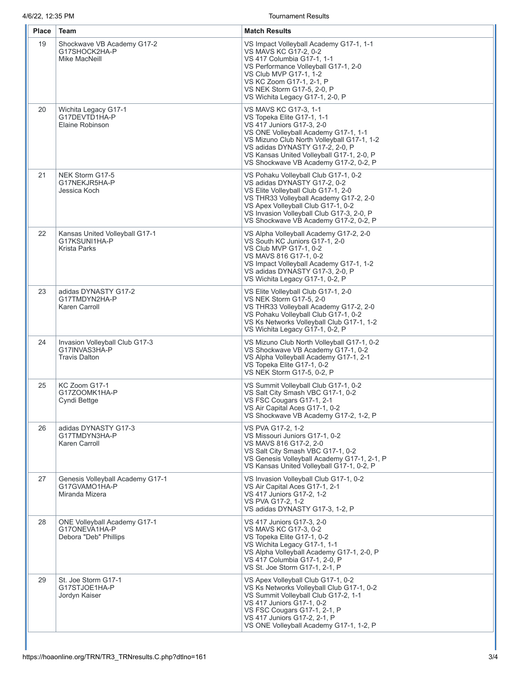**Tournament Results** 

| <b>Place</b> | Team                                                                          | <b>Match Results</b>                                                                                                                                                                                                                                                                            |
|--------------|-------------------------------------------------------------------------------|-------------------------------------------------------------------------------------------------------------------------------------------------------------------------------------------------------------------------------------------------------------------------------------------------|
| 19           | Shockwave VB Academy G17-2<br>G17SHOCK2HA-P<br>Mike MacNeill                  | VS Impact Volleyball Academy G17-1, 1-1<br>VS MAVS KC G17-2, 0-2<br>VS 417 Columbia G17-1, 1-1<br>VS Performance Volleyball G17-1, 2-0<br>VS Club MVP G17-1, 1-2<br>VS KC Zoom G17-1, 2-1, P<br>VS NEK Storm G17-5, 2-0, P<br>VS Wichita Legacy G17-1, 2-0, P                                   |
| 20           | Wichita Legacy G17-1<br>G17DEVTD1HA-P<br>Elaine Robinson                      | VS MAVS KC G17-3, 1-1<br>VS Topeka Elite G17-1, 1-1<br>VS 417 Juniors G17-3, 2-0<br>VS ONE Volleyball Academy G17-1, 1-1<br>VS Mizuno Club North Volleyball G17-1, 1-2<br>VS adidas DYNASTY G17-2, 2-0, P<br>VS Kansas United Volleyball G17-1, 2-0, P<br>VS Shockwave VB Academy G17-2, 0-2, P |
| 21           | NEK Storm G17-5<br>G17NEKJR5HA-P<br>Jessica Koch                              | VS Pohaku Volleyball Club G17-1, 0-2<br>VS adidas DYNASTY G17-2, 0-2<br>VS Elite Volleyball Club G17-1, 2-0<br>VS THR33 Volleyball Academy G17-2, 2-0<br>VS Apex Volleyball Club G17-1, 0-2<br>VS Invasion Volleyball Club G17-3, 2-0, P<br>VS Shockwave VB Academy G17-2, 0-2, P               |
| 22           | Kansas United Volleyball G17-1<br>G17KSUNI1HA-P<br><b>Krista Parks</b>        | VS Alpha Volleyball Academy G17-2, 2-0<br>VS South KC Juniors G17-1, 2-0<br>VS Club MVP G17-1, 0-2<br>VS MAVS 816 G17-1, 0-2<br>VS Impact Volleyball Academy G17-1, 1-2<br>VS adidas DYNASTY G17-3, 2-0, P<br>VS Wichita Legacy G17-1, 0-2, P                                                   |
| 23           | adidas DYNASTY G17-2<br>G17TMDYN2HA-P<br>Karen Carroll                        | VS Elite Volleyball Club G17-1, 2-0<br>VS NEK Storm G17-5, 2-0<br>VS THR33 Volleyball Academy G17-2, 2-0<br>VS Pohaku Volleyball Club G17-1, 0-2<br>VS Ks Networks Volleyball Club G17-1, 1-2<br>VS Wichita Legacy G17-1, 0-2, P                                                                |
| 24           | Invasion Volleyball Club G17-3<br>G17INVAS3HA-P<br><b>Travis Dalton</b>       | VS Mizuno Club North Volleyball G17-1, 0-2<br>VS Shockwave VB Academy G17-1, 0-2<br>VS Alpha Volleyball Academy G17-1, 2-1<br>VS Topeka Elite G17-1, 0-2<br>VS NEK Storm G17-5, 0-2, P                                                                                                          |
| 25           | KC Zoom G17-1<br>G17ZOOMK1HA-P<br>Cyndi Bettge                                | VS Summit Volleyball Club G17-1, 0-2<br>VS Salt City Smash VBC G17-1, 0-2<br>VS FSC Cougars G17-1, 2-1<br>VS Air Capital Aces G17-1, 0-2<br>VS Shockwave VB Academy G17-2, 1-2, P                                                                                                               |
| 26           | adidas DYNASTY G17-3<br>G17TMDYN3HA-P<br>Karen Carroll                        | VS PVA G17-2, 1-2<br>VS Missouri Juniors G17-1, 0-2<br>VS MAVS 816 G17-2, 2-0<br>VS Salt City Smash VBC G17-1, 0-2<br>VS Genesis Volleyball Academy G17-1, 2-1, P<br>VS Kansas United Volleyball G17-1, 0-2, P                                                                                  |
| 27           | Genesis Volleyball Academy G17-1<br>G17GVAMO1HA-P<br>Miranda Mizera           | VS Invasion Volleyball Club G17-1, 0-2<br>VS Air Capital Aces G17-1, 2-1<br>VS 417 Juniors G17-2, 1-2<br>VS PVA G17-2, 1-2<br>VS adidas DYNASTY G17-3, 1-2, P                                                                                                                                   |
| 28           | <b>ONE Volleyball Academy G17-1</b><br>G17ONEVA1HA-P<br>Debora "Deb" Phillips | VS 417 Juniors G17-3, 2-0<br>VS MAVS KC G17-3, 0-2<br>VS Topeka Elite G17-1, 0-2<br>VS Wichita Legacy G17-1, 1-1<br>VS Alpha Volleyball Academy G17-1, 2-0, P<br>VS 417 Columbia G17-1, 2-0, P<br>VS St. Joe Storm G17-1, 2-1, P                                                                |
| 29           | St. Joe Storm G17-1<br>G17STJOE1HA-P<br>Jordyn Kaiser                         | VS Apex Volleyball Club G17-1, 0-2<br>VS Ks Networks Volleyball Club G17-1, 0-2<br>VS Summit Volleyball Club G17-2, 1-1<br>VS 417 Juniors G17-1, 0-2<br>VS FSC Cougars G17-1, 2-1, P<br>VS 417 Juniors G17-2, 2-1, P<br>VS ONE Volleyball Academy G17-1, 1-2, P                                 |

I